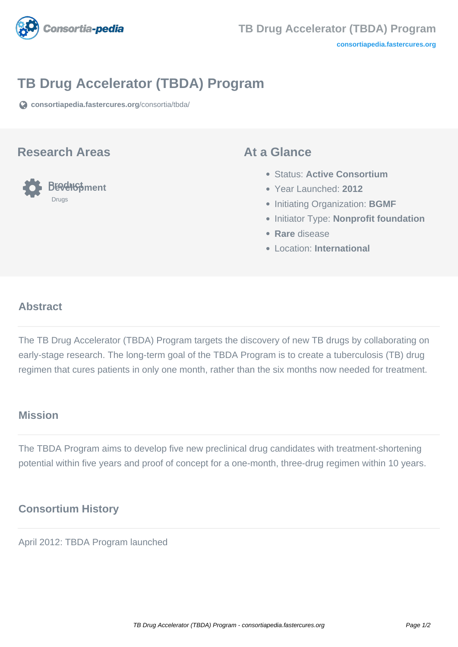

# **TB Drug Accelerator (TBDA) Program**

**[consortiapedia.fastercures.org](https://consortiapedia.fastercures.org/consortia/tbda/)**[/consortia/tbda/](https://consortiapedia.fastercures.org/consortia/tbda/)

### **Research Areas**



## **At a Glance**

- Status: **Active Consortium**
- Year Launched: **2012**
- **Initiating Organization: BGMF**
- **Initiator Type: Nonprofit foundation**
- **Rare** disease
- Location: **International**

#### $\overline{a}$ **Abstract**

The TB Drug Accelerator (TBDA) Program targets the discovery of new TB drugs by collaborating on early-stage research. The long-term goal of the TBDA Program is to create a tuberculosis (TB) drug regimen that cures patients in only one month, rather than the six months now needed for treatment.

## **Mission**

The TBDA Program aims to develop five new preclinical drug candidates with treatment-shortening potential within five years and proof of concept for a one-month, three-drug regimen within 10 years.

# **Consortium History**

April 2012: TBDA Program launched